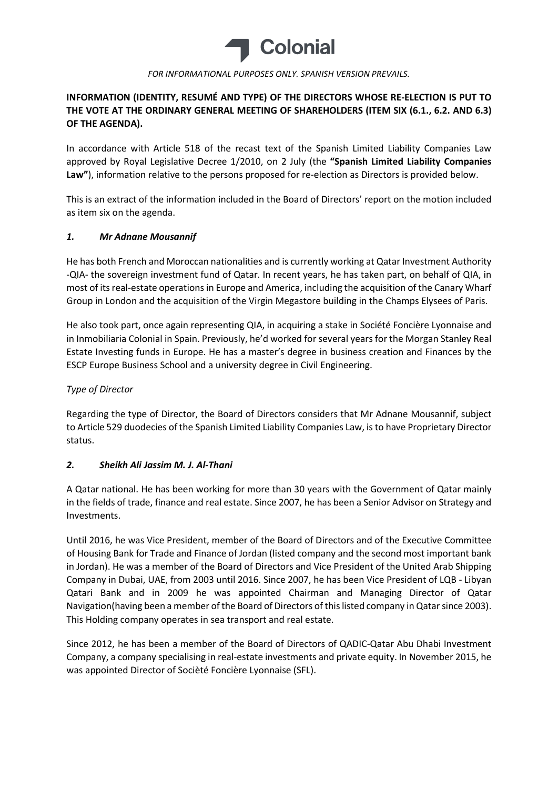

#### FOR INFORMATIONAL PURPOSES ONLY. SPANISH VERSION PREVAILS.

## INFORMATION (IDENTITY, RESUMÉ AND TYPE) OF THE DIRECTORS WHOSE RE-ELECTION IS PUT TO THE VOTE AT THE ORDINARY GENERAL MEETING OF SHAREHOLDERS (ITEM SIX (6.1., 6.2. AND 6.3) OF THE AGENDA).

In accordance with Article 518 of the recast text of the Spanish Limited Liability Companies Law approved by Royal Legislative Decree 1/2010, on 2 July (the "Spanish Limited Liability Companies Law"), information relative to the persons proposed for re-election as Directors is provided below.

This is an extract of the information included in the Board of Directors' report on the motion included as item six on the agenda.

### 1. Mr Adnane Mousannif

He has both French and Moroccan nationalities and is currently working at Qatar Investment Authority -QIA- the sovereign investment fund of Qatar. In recent years, he has taken part, on behalf of QIA, in most of its real-estate operations in Europe and America, including the acquisition of the Canary Wharf Group in London and the acquisition of the Virgin Megastore building in the Champs Elysees of Paris.

He also took part, once again representing QIA, in acquiring a stake in Société Foncière Lyonnaise and in Inmobiliaria Colonial in Spain. Previously, he'd worked for several years for the Morgan Stanley Real Estate Investing funds in Europe. He has a master's degree in business creation and Finances by the ESCP Europe Business School and a university degree in Civil Engineering.

### Type of Director

Regarding the type of Director, the Board of Directors considers that Mr Adnane Mousannif, subject to Article 529 duodecies of the Spanish Limited Liability Companies Law, is to have Proprietary Director status.

### 2. Sheikh Ali Jassim M. J. Al-Thani

A Qatar national. He has been working for more than 30 years with the Government of Qatar mainly in the fields of trade, finance and real estate. Since 2007, he has been a Senior Advisor on Strategy and Investments.

Until 2016, he was Vice President, member of the Board of Directors and of the Executive Committee of Housing Bank for Trade and Finance of Jordan (listed company and the second most important bank in Jordan). He was a member of the Board of Directors and Vice President of the United Arab Shipping Company in Dubai, UAE, from 2003 until 2016. Since 2007, he has been Vice President of LQB - Libyan Qatari Bank and in 2009 he was appointed Chairman and Managing Director of Qatar Navigation(having been a member of the Board of Directors of this listed company in Qatar since 2003). This Holding company operates in sea transport and real estate.

Since 2012, he has been a member of the Board of Directors of QADIC-Qatar Abu Dhabi Investment Company, a company specialising in real-estate investments and private equity. In November 2015, he was appointed Director of Socièté Foncière Lyonnaise (SFL).